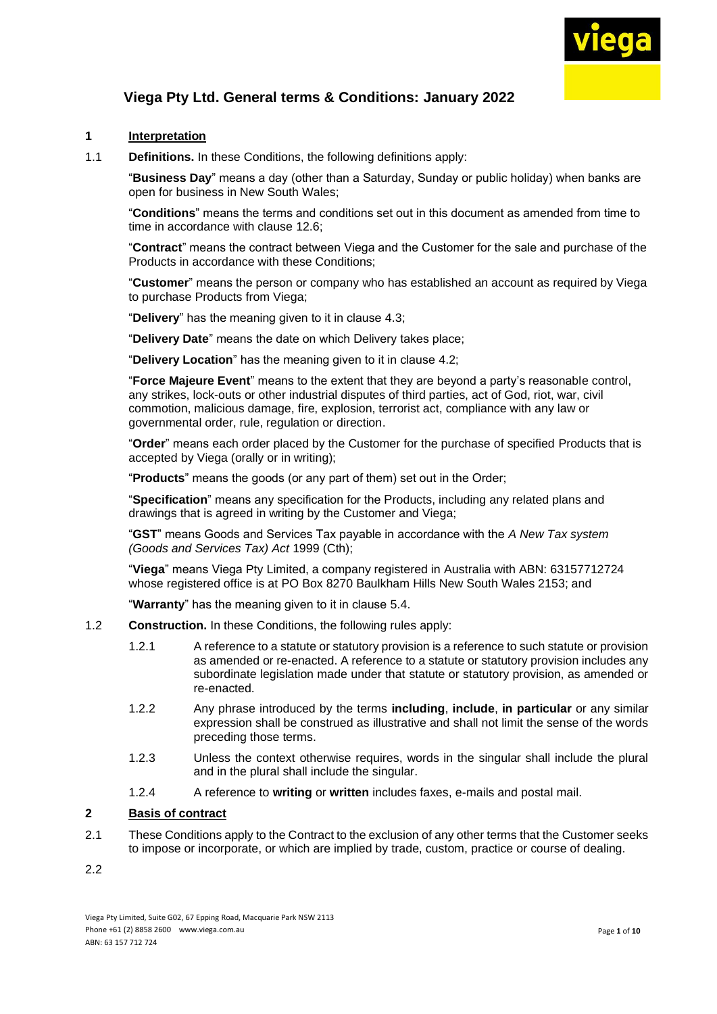

#### **1 Interpretation**

1.1 **Definitions.** In these Conditions, the following definitions apply:

"**Business Day**" means a day (other than a Saturday, Sunday or public holiday) when banks are open for business in New South Wales;

"**Conditions**" means the terms and conditions set out in this document as amended from time to time in accordance with clause [12.6;](file:///C:/Users/JacksonPh/Documents/a618934)

"**Contract**" means the contract between Viega and the Customer for the sale and purchase of the Products in accordance with these Conditions;

"**Customer**" means the person or company who has established an account as required by Viega to purchase Products from Viega;

"**Delivery**" has the meaning given to it in clause [4.3;](#page-2-0)

"**Delivery Date**" means the date on which Delivery takes place;

"**Delivery Location**" has the meaning given to it in clause [4.2;](#page-2-1)

"**Force Majeure Event**" means to the extent that they are beyond a party's reasonable control, any strikes, lock-outs or other industrial disputes of third parties, act of God, riot, war, civil commotion, malicious damage, fire, explosion, terrorist act, compliance with any law or governmental order, rule, regulation or direction.

"**Order**" means each order placed by the Customer for the purchase of specified Products that is accepted by Viega (orally or in writing);

"**Products**" means the goods (or any part of them) set out in the Order;

"**Specification**" means any specification for the Products, including any related plans and drawings that is agreed in writing by the Customer and Viega;

"**GST**" means Goods and Services Tax payable in accordance with the *A New Tax system (Goods and Services Tax) Act* 1999 (Cth);

"**Viega**" means Viega Pty Limited, a company registered in Australia with ABN: 63157712724 whose registered office is at PO Box 8270 Baulkham Hills New South Wales 2153; and

"**Warranty**" has the meaning given to it in clause [5.4](#page-2-2).

- 1.2 **Construction.** In these Conditions, the following rules apply:
	- 1.2.1 A reference to a statute or statutory provision is a reference to such statute or provision as amended or re-enacted. A reference to a statute or statutory provision includes any subordinate legislation made under that statute or statutory provision, as amended or re-enacted.
	- 1.2.2 Any phrase introduced by the terms **including**, **include**, **in particular** or any similar expression shall be construed as illustrative and shall not limit the sense of the words preceding those terms.
	- 1.2.3 Unless the context otherwise requires, words in the singular shall include the plural and in the plural shall include the singular.
	- 1.2.4 A reference to **writing** or **written** includes faxes, e-mails and postal mail.

### **2 Basis of contract**

- 2.1 These Conditions apply to the Contract to the exclusion of any other terms that the Customer seeks to impose or incorporate, or which are implied by trade, custom, practice or course of dealing.
- 2.2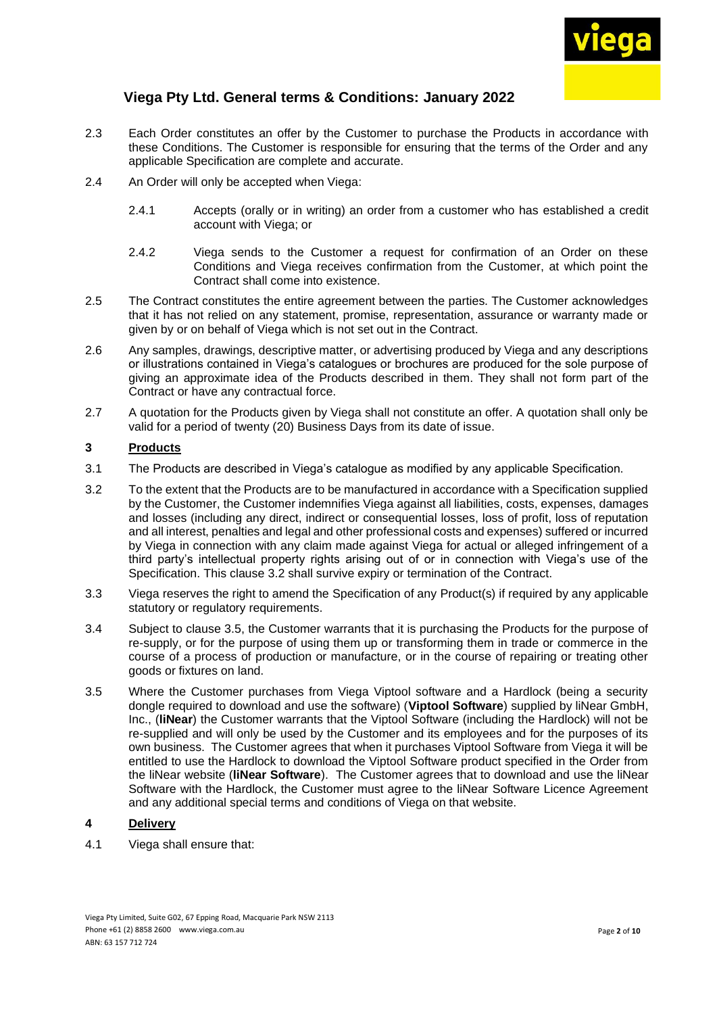

- 2.3 Each Order constitutes an offer by the Customer to purchase the Products in accordance with these Conditions. The Customer is responsible for ensuring that the terms of the Order and any applicable Specification are complete and accurate.
- 2.4 An Order will only be accepted when Viega:
	- 2.4.1 Accepts (orally or in writing) an order from a customer who has established a credit account with Viega; or
	- 2.4.2 Viega sends to the Customer a request for confirmation of an Order on these Conditions and Viega receives confirmation from the Customer, at which point the Contract shall come into existence.
- 2.5 The Contract constitutes the entire agreement between the parties. The Customer acknowledges that it has not relied on any statement, promise, representation, assurance or warranty made or given by or on behalf of Viega which is not set out in the Contract.
- 2.6 Any samples, drawings, descriptive matter, or advertising produced by Viega and any descriptions or illustrations contained in Viega's catalogues or brochures are produced for the sole purpose of giving an approximate idea of the Products described in them. They shall not form part of the Contract or have any contractual force.
- 2.7 A quotation for the Products given by Viega shall not constitute an offer. A quotation shall only be valid for a period of twenty (20) Business Days from its date of issue.

#### **3 Products**

- 3.1 The Products are described in Viega's catalogue as modified by any applicable Specification.
- 3.2 To the extent that the Products are to be manufactured in accordance with a Specification supplied by the Customer, the Customer indemnifies Viega against all liabilities, costs, expenses, damages and losses (including any direct, indirect or consequential losses, loss of profit, loss of reputation and all interest, penalties and legal and other professional costs and expenses) suffered or incurred by Viega in connection with any claim made against Viega for actual or alleged infringement of a third party's intellectual property rights arising out of or in connection with Viega's use of the Specification. This clause [3.2](file:///C:/Users/JacksonPh/Documents/a973123) shall survive expiry or termination of the Contract.
- 3.3 Viega reserves the right to amend the Specification of any Product(s) if required by any applicable statutory or regulatory requirements.
- 3.4 Subject to clause [3.5,](#page-1-0) the Customer warrants that it is purchasing the Products for the purpose of re-supply, or for the purpose of using them up or transforming them in trade or commerce in the course of a process of production or manufacture, or in the course of repairing or treating other goods or fixtures on land.
- <span id="page-1-0"></span>3.5 Where the Customer purchases from Viega Viptool software and a Hardlock (being a security dongle required to download and use the software) (**Viptool Software**) supplied by liNear GmbH, Inc., (**liNear**) the Customer warrants that the Viptool Software (including the Hardlock) will not be re-supplied and will only be used by the Customer and its employees and for the purposes of its own business. The Customer agrees that when it purchases Viptool Software from Viega it will be entitled to use the Hardlock to download the Viptool Software product specified in the Order from the liNear website (**liNear Software**). The Customer agrees that to download and use the liNear Software with the Hardlock, the Customer must agree to the liNear Software Licence Agreement and any additional special terms and conditions of Viega on that website.

### **4 Delivery**

4.1 Viega shall ensure that: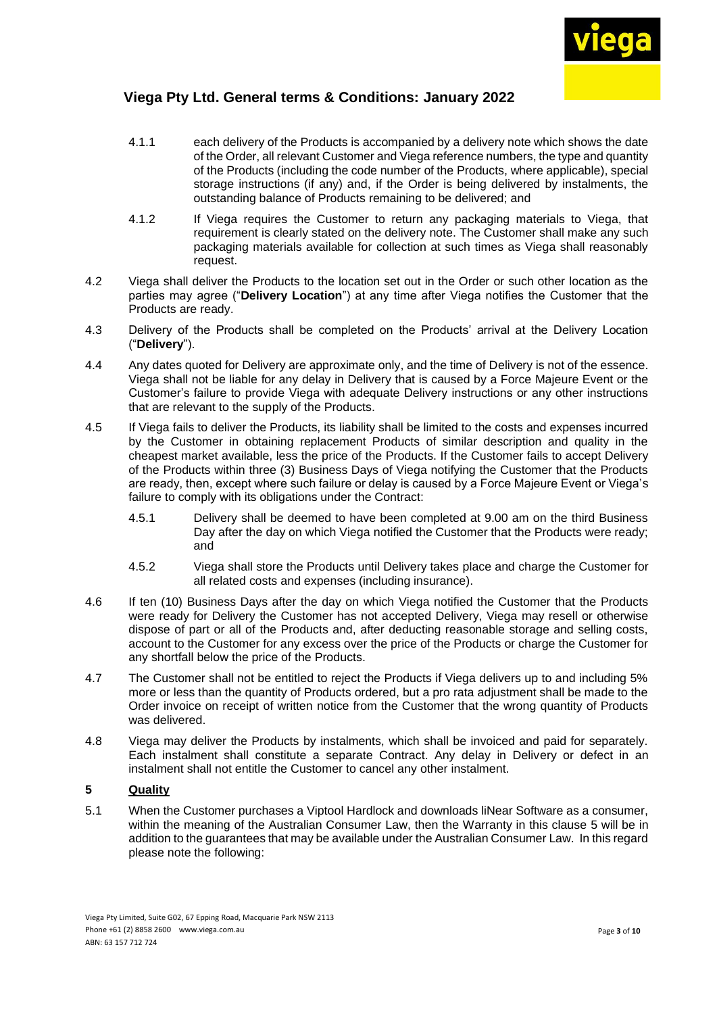

- 4.1.1 each delivery of the Products is accompanied by a delivery note which shows the date of the Order, all relevant Customer and Viega reference numbers, the type and quantity of the Products (including the code number of the Products, where applicable), special storage instructions (if any) and, if the Order is being delivered by instalments, the outstanding balance of Products remaining to be delivered; and
- 4.1.2 If Viega requires the Customer to return any packaging materials to Viega, that requirement is clearly stated on the delivery note. The Customer shall make any such packaging materials available for collection at such times as Viega shall reasonably request.
- <span id="page-2-1"></span>4.2 Viega shall deliver the Products to the location set out in the Order or such other location as the parties may agree ("**Delivery Location**") at any time after Viega notifies the Customer that the Products are ready.
- <span id="page-2-0"></span>4.3 Delivery of the Products shall be completed on the Products' arrival at the Delivery Location ("**Delivery**").
- 4.4 Any dates quoted for Delivery are approximate only, and the time of Delivery is not of the essence. Viega shall not be liable for any delay in Delivery that is caused by a Force Majeure Event or the Customer's failure to provide Viega with adequate Delivery instructions or any other instructions that are relevant to the supply of the Products.
- 4.5 If Viega fails to deliver the Products, its liability shall be limited to the costs and expenses incurred by the Customer in obtaining replacement Products of similar description and quality in the cheapest market available, less the price of the Products. If the Customer fails to accept Delivery of the Products within three (3) Business Days of Viega notifying the Customer that the Products are ready, then, except where such failure or delay is caused by a Force Majeure Event or Viega's failure to comply with its obligations under the Contract:
	- 4.5.1 Delivery shall be deemed to have been completed at 9.00 am on the third Business Day after the day on which Viega notified the Customer that the Products were ready; and
	- 4.5.2 Viega shall store the Products until Delivery takes place and charge the Customer for all related costs and expenses (including insurance).
- 4.6 If ten (10) Business Days after the day on which Viega notified the Customer that the Products were ready for Delivery the Customer has not accepted Delivery, Viega may resell or otherwise dispose of part or all of the Products and, after deducting reasonable storage and selling costs, account to the Customer for any excess over the price of the Products or charge the Customer for any shortfall below the price of the Products.
- 4.7 The Customer shall not be entitled to reject the Products if Viega delivers up to and including 5% more or less than the quantity of Products ordered, but a pro rata adjustment shall be made to the Order invoice on receipt of written notice from the Customer that the wrong quantity of Products was delivered.
- 4.8 Viega may deliver the Products by instalments, which shall be invoiced and paid for separately. Each instalment shall constitute a separate Contract. Any delay in Delivery or defect in an instalment shall not entitle the Customer to cancel any other instalment.

### <span id="page-2-3"></span>**5 Quality**

<span id="page-2-2"></span>5.1 When the Customer purchases a Viptool Hardlock and downloads liNear Software as a consumer, within the meaning of the Australian Consumer Law, then the Warranty in this clause [5](#page-2-3) will be in addition to the guarantees that may be available under the Australian Consumer Law. In this regard please note the following: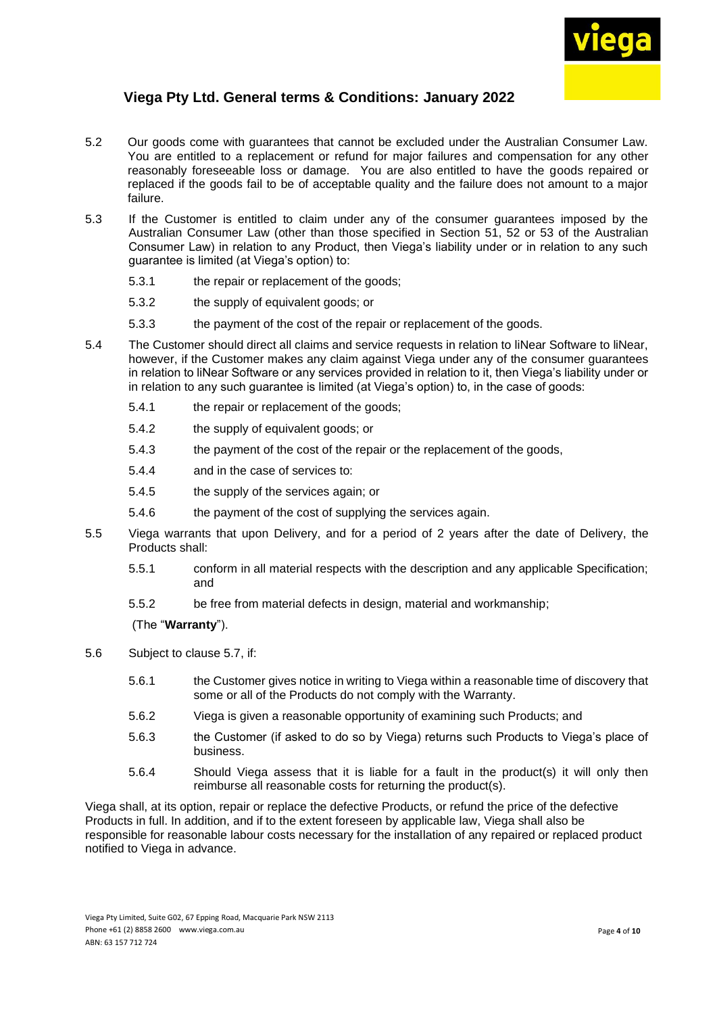

- 5.2 Our goods come with guarantees that cannot be excluded under the Australian Consumer Law. You are entitled to a replacement or refund for major failures and compensation for any other reasonably foreseeable loss or damage. You are also entitled to have the goods repaired or replaced if the goods fail to be of acceptable quality and the failure does not amount to a major failure.
- 5.3 If the Customer is entitled to claim under any of the consumer guarantees imposed by the Australian Consumer Law (other than those specified in Section 51, 52 or 53 of the Australian Consumer Law) in relation to any Product, then Viega's liability under or in relation to any such guarantee is limited (at Viega's option) to:
	- 5.3.1 the repair or replacement of the goods;
	- 5.3.2 the supply of equivalent goods; or
	- 5.3.3 the payment of the cost of the repair or replacement of the goods.
- 5.4 The Customer should direct all claims and service requests in relation to liNear Software to liNear, however, if the Customer makes any claim against Viega under any of the consumer guarantees in relation to liNear Software or any services provided in relation to it, then Viega's liability under or in relation to any such guarantee is limited (at Viega's option) to, in the case of goods:
	- 5.4.1 the repair or replacement of the goods;
	- 5.4.2 the supply of equivalent goods; or
	- 5.4.3 the payment of the cost of the repair or the replacement of the goods,
	- 5.4.4 and in the case of services to:
	- 5.4.5 the supply of the services again; or
	- 5.4.6 the payment of the cost of supplying the services again.
- <span id="page-3-0"></span>5.5 Viega warrants that upon Delivery, and for a period of 2 years after the date of Delivery, the Products shall:
	- 5.5.1 conform in all material respects with the description and any applicable Specification; and
	- 5.5.2 be free from material defects in design, material and workmanship;

#### (The "**Warranty**").

- 5.6 Subject to clause [5.7,](#page-4-0) if:
	- 5.6.1 the Customer gives notice in writing to Viega within a reasonable time of discovery that some or all of the Products do not comply with the Warranty.
	- 5.6.2 Viega is given a reasonable opportunity of examining such Products; and
	- 5.6.3 the Customer (if asked to do so by Viega) returns such Products to Viega's place of business.
	- 5.6.4 Should Viega assess that it is liable for a fault in the product(s) it will only then reimburse all reasonable costs for returning the product(s).

Viega shall, at its option, repair or replace the defective Products, or refund the price of the defective Products in full. In addition, and if to the extent foreseen by applicable law, Viega shall also be responsible for reasonable labour costs necessary for the installation of any repaired or replaced product notified to Viega in advance.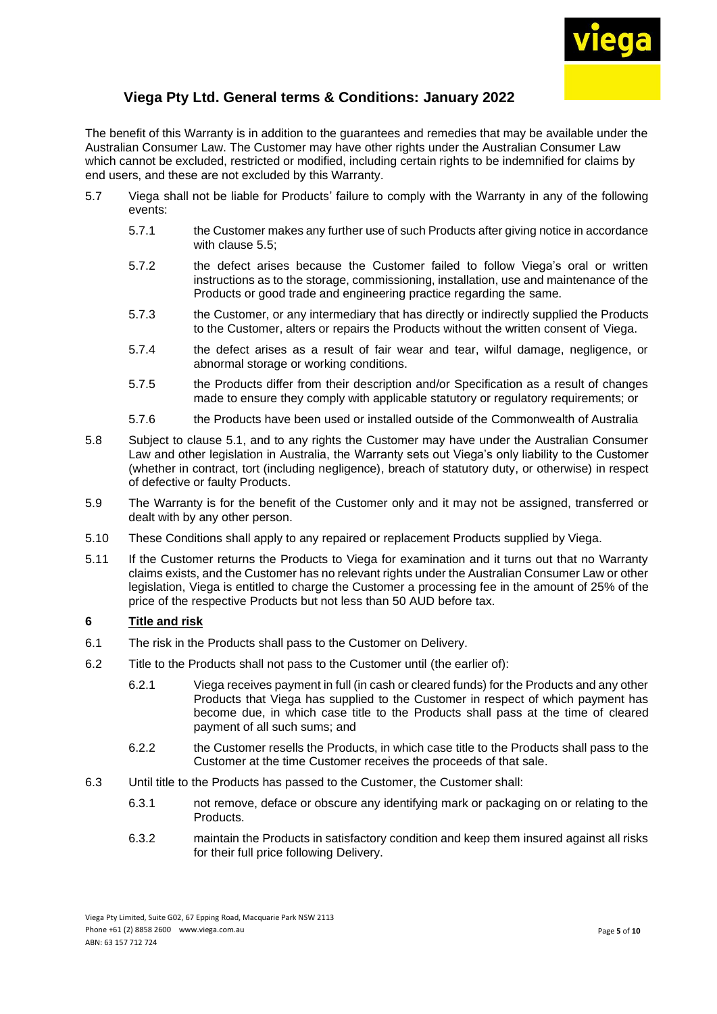

The benefit of this Warranty is in addition to the guarantees and remedies that may be available under the Australian Consumer Law. The Customer may have other rights under the Australian Consumer Law which cannot be excluded, restricted or modified, including certain rights to be indemnified for claims by end users, and these are not excluded by this Warranty.

- <span id="page-4-0"></span>5.7 Viega shall not be liable for Products' failure to comply with the Warranty in any of the following events:
	- 5.7.1 the Customer makes any further use of such Products after giving notice in accordance with clause [5.5;](#page-3-0)
	- 5.7.2 the defect arises because the Customer failed to follow Viega's oral or written instructions as to the storage, commissioning, installation, use and maintenance of the Products or good trade and engineering practice regarding the same.
	- 5.7.3 the Customer, or any intermediary that has directly or indirectly supplied the Products to the Customer, alters or repairs the Products without the written consent of Viega.
	- 5.7.4 the defect arises as a result of fair wear and tear, wilful damage, negligence, or abnormal storage or working conditions.
	- 5.7.5 the Products differ from their description and/or Specification as a result of changes made to ensure they comply with applicable statutory or regulatory requirements; or
	- 5.7.6 the Products have been used or installed outside of the Commonwealth of Australia
- 5.8 Subject to clause [5.1,](#page-2-2) and to any rights the Customer may have under the Australian Consumer Law and other legislation in Australia, the Warranty sets out Viega's only liability to the Customer (whether in contract, tort (including negligence), breach of statutory duty, or otherwise) in respect of defective or faulty Products.
- 5.9 The Warranty is for the benefit of the Customer only and it may not be assigned, transferred or dealt with by any other person.
- 5.10 These Conditions shall apply to any repaired or replacement Products supplied by Viega.
- 5.11 If the Customer returns the Products to Viega for examination and it turns out that no Warranty claims exists, and the Customer has no relevant rights under the Australian Consumer Law or other legislation, Viega is entitled to charge the Customer a processing fee in the amount of 25% of the price of the respective Products but not less than 50 AUD before tax.

### **6 Title and risk**

- 6.1 The risk in the Products shall pass to the Customer on Delivery.
- 6.2 Title to the Products shall not pass to the Customer until (the earlier of):
	- 6.2.1 Viega receives payment in full (in cash or cleared funds) for the Products and any other Products that Viega has supplied to the Customer in respect of which payment has become due, in which case title to the Products shall pass at the time of cleared payment of all such sums; and
	- 6.2.2 the Customer resells the Products, in which case title to the Products shall pass to the Customer at the time Customer receives the proceeds of that sale.
- 6.3 Until title to the Products has passed to the Customer, the Customer shall:
	- 6.3.1 not remove, deface or obscure any identifying mark or packaging on or relating to the Products.
	- 6.3.2 maintain the Products in satisfactory condition and keep them insured against all risks for their full price following Delivery.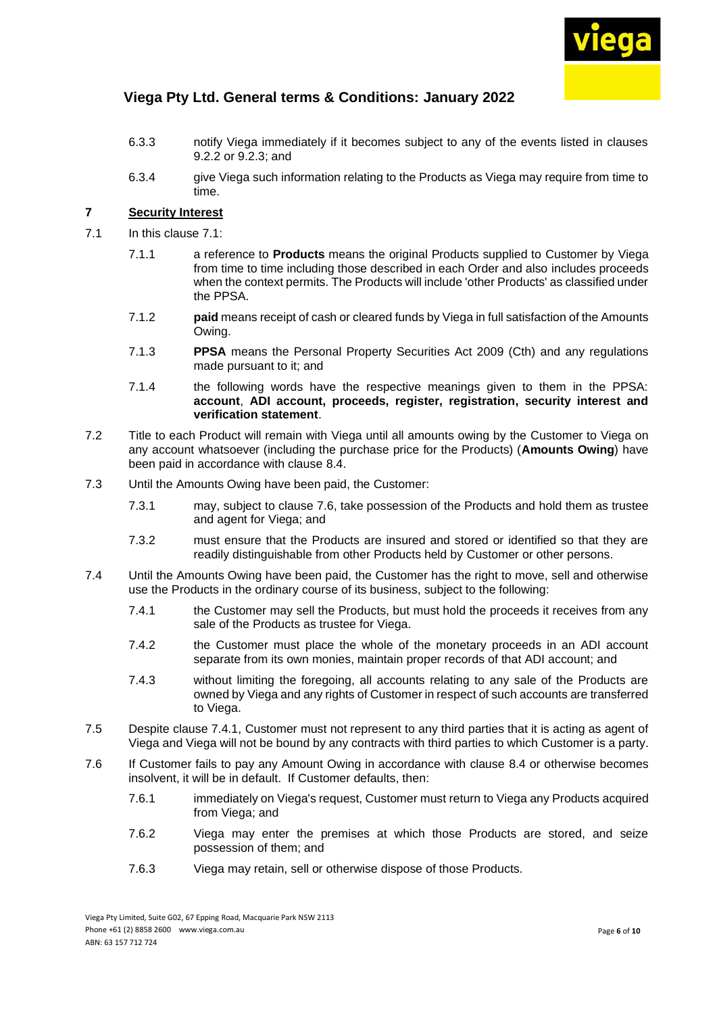

- 6.3.3 notify Viega immediately if it becomes subject to any of the events listed in clauses [9.2.2](#page-7-0) or [9.2.3;](#page-7-1) and
- 6.3.4 give Viega such information relating to the Products as Viega may require from time to time.

#### **7 Security Interest**

- <span id="page-5-0"></span>7.1 In this clause [7.1:](#page-5-0)
	- 7.1.1 a reference to **Products** means the original Products supplied to Customer by Viega from time to time including those described in each Order and also includes proceeds when the context permits. The Products will include 'other Products' as classified under the PPSA.
	- 7.1.2 **paid** means receipt of cash or cleared funds by Viega in full satisfaction of the Amounts Owing.
	- 7.1.3 **PPSA** means the Personal Property Securities Act 2009 (Cth) and any regulations made pursuant to it; and
	- 7.1.4 the following words have the respective meanings given to them in the PPSA: **account**, **ADI account, proceeds, register, registration, security interest and verification statement**.
- 7.2 Title to each Product will remain with Viega until all amounts owing by the Customer to Viega on any account whatsoever (including the purchase price for the Products) (**Amounts Owing**) have been paid in accordance with clause [8.4.](#page-6-0)
- 7.3 Until the Amounts Owing have been paid, the Customer:
	- 7.3.1 may, subject to clause [7.6,](#page-5-1) take possession of the Products and hold them as trustee and agent for Viega; and
	- 7.3.2 must ensure that the Products are insured and stored or identified so that they are readily distinguishable from other Products held by Customer or other persons.
- <span id="page-5-2"></span>7.4 Until the Amounts Owing have been paid, the Customer has the right to move, sell and otherwise use the Products in the ordinary course of its business, subject to the following:
	- 7.4.1 the Customer may sell the Products, but must hold the proceeds it receives from any sale of the Products as trustee for Viega.
	- 7.4.2 the Customer must place the whole of the monetary proceeds in an ADI account separate from its own monies, maintain proper records of that ADI account; and
	- 7.4.3 without limiting the foregoing, all accounts relating to any sale of the Products are owned by Viegaand any rights of Customer in respect of such accounts are transferred to Viega.
- 7.5 Despite clause [7.4.1,](#page-5-2) Customer must not represent to any third parties that it is acting as agent of Viega and Viega will not be bound by any contracts with third parties to which Customer is a party.
- <span id="page-5-1"></span>7.6 If Customer fails to pay any Amount Owing in accordance with clause [8.4](#page-6-0) or otherwise becomes insolvent, it will be in default. If Customer defaults, then:
	- 7.6.1 immediately on Viega's request, Customer must return to Viega any Products acquired from Viega; and
	- 7.6.2 Viega may enter the premises at which those Products are stored, and seize possession of them; and
	- 7.6.3 Viega may retain, sell or otherwise dispose of those Products.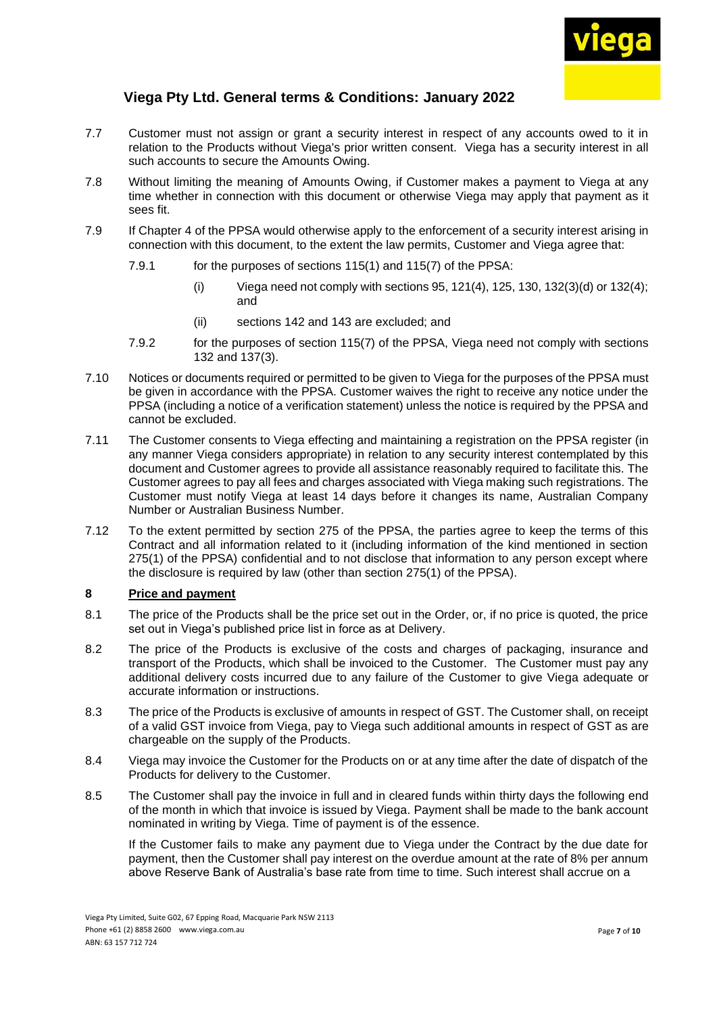

- 7.7 Customer must not assign or grant a security interest in respect of any accounts owed to it in relation to the Products without Viega's prior written consent. Viega has a security interest in all such accounts to secure the Amounts Owing.
- 7.8 Without limiting the meaning of Amounts Owing, if Customer makes a payment to Viega at any time whether in connection with this document or otherwise Viega may apply that payment as it sees fit.
- 7.9 If Chapter 4 of the PPSA would otherwise apply to the enforcement of a security interest arising in connection with this document, to the extent the law permits, Customer and Viega agree that:
	- 7.9.1 for the purposes of sections 115(1) and 115(7) of the PPSA:
		- (i) Viega need not comply with sections  $95, 121(4)$ ,  $125, 130, 132(3)(d)$  or  $132(4)$ ; and
		- (ii) sections 142 and 143 are excluded; and
	- 7.9.2 for the purposes of section 115(7) of the PPSA, Viega need not comply with sections 132 and 137(3).
- 7.10 Notices or documents required or permitted to be given to Viega for the purposes of the PPSA must be given in accordance with the PPSA. Customer waives the right to receive any notice under the PPSA (including a notice of a verification statement) unless the notice is required by the PPSA and cannot be excluded.
- 7.11 The Customer consents to Viega effecting and maintaining a registration on the PPSA register (in any manner Viega considers appropriate) in relation to any security interest contemplated by this document and Customer agrees to provide all assistance reasonably required to facilitate this. The Customer agrees to pay all fees and charges associated with Viega making such registrations. The Customer must notify Viega at least 14 days before it changes its name, Australian Company Number or Australian Business Number.
- 7.12 To the extent permitted by section 275 of the PPSA, the parties agree to keep the terms of this Contract and all information related to it (including information of the kind mentioned in section 275(1) of the PPSA) confidential and to not disclose that information to any person except where the disclosure is required by law (other than section 275(1) of the PPSA).

### **8 Price and payment**

- 8.1 The price of the Products shall be the price set out in the Order, or, if no price is quoted, the price set out in Viega's published price list in force as at Delivery.
- 8.2 The price of the Products is exclusive of the costs and charges of packaging, insurance and transport of the Products, which shall be invoiced to the Customer. The Customer must pay any additional delivery costs incurred due to any failure of the Customer to give Viega adequate or accurate information or instructions.
- 8.3 The price of the Products is exclusive of amounts in respect of GST. The Customer shall, on receipt of a valid GST invoice from Viega, pay to Viega such additional amounts in respect of GST as are chargeable on the supply of the Products.
- <span id="page-6-0"></span>8.4 Viega may invoice the Customer for the Products on or at any time after the date of dispatch of the Products for delivery to the Customer.
- 8.5 The Customer shall pay the invoice in full and in cleared funds within thirty days the following end of the month in which that invoice is issued by Viega. Payment shall be made to the bank account nominated in writing by Viega. Time of payment is of the essence.

If the Customer fails to make any payment due to Viega under the Contract by the due date for payment, then the Customer shall pay interest on the overdue amount at the rate of 8% per annum above Reserve Bank of Australia's base rate from time to time. Such interest shall accrue on a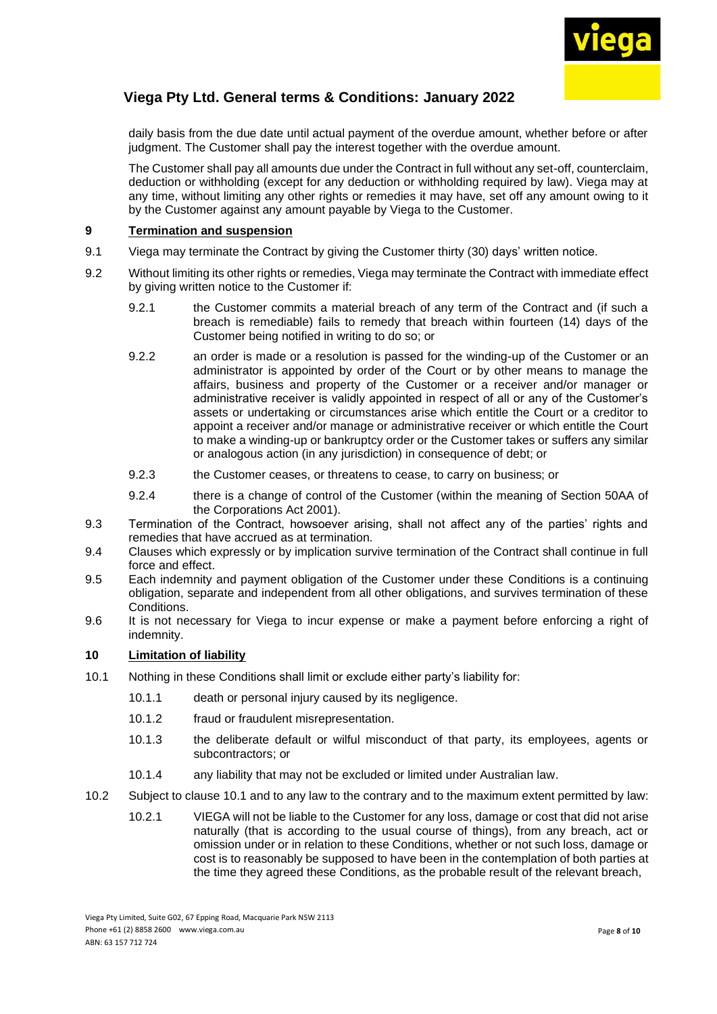

daily basis from the due date until actual payment of the overdue amount, whether before or after judgment. The Customer shall pay the interest together with the overdue amount.

The Customer shall pay all amounts due under the Contract in full without any set-off, counterclaim, deduction or withholding (except for any deduction or withholding required by law). Viega may at any time, without limiting any other rights or remedies it may have, set off any amount owing to it by the Customer against any amount payable by Viega to the Customer.

### **9 Termination and suspension**

- 9.1 Viega may terminate the Contract by giving the Customer thirty (30) days' written notice.
- <span id="page-7-0"></span>9.2 Without limiting its other rights or remedies, Viega may terminate the Contract with immediate effect by giving written notice to the Customer if:
	- 9.2.1 the Customer commits a material breach of any term of the Contract and (if such a breach is remediable) fails to remedy that breach within fourteen (14) days of the Customer being notified in writing to do so; or
	- 9.2.2 an order is made or a resolution is passed for the winding-up of the Customer or an administrator is appointed by order of the Court or by other means to manage the affairs, business and property of the Customer or a receiver and/or manager or administrative receiver is validly appointed in respect of all or any of the Customer's assets or undertaking or circumstances arise which entitle the Court or a creditor to appoint a receiver and/or manage or administrative receiver or which entitle the Court to make a winding-up or bankruptcy order or the Customer takes or suffers any similar or analogous action (in any jurisdiction) in consequence of debt; or
	- 9.2.3 the Customer ceases, or threatens to cease, to carry on business; or
	- 9.2.4 there is a change of control of the Customer (within the meaning of Section 50AA of the Corporations Act 2001).
- <span id="page-7-1"></span>9.3 Termination of the Contract, howsoever arising, shall not affect any of the parties' rights and remedies that have accrued as at termination.
- 9.4 Clauses which expressly or by implication survive termination of the Contract shall continue in full force and effect.
- 9.5 Each indemnity and payment obligation of the Customer under these Conditions is a continuing obligation, separate and independent from all other obligations, and survives termination of these Conditions.
- 9.6 It is not necessary for Viega to incur expense or make a payment before enforcing a right of indemnity.

#### **10 Limitation of liability**

- <span id="page-7-2"></span>10.1 Nothing in these Conditions shall limit or exclude either party's liability for:
	- 10.1.1 death or personal injury caused by its negligence.
	- 10.1.2 fraud or fraudulent misrepresentation.
	- 10.1.3 the deliberate default or wilful misconduct of that party, its employees, agents or subcontractors; or
	- 10.1.4 any liability that may not be excluded or limited under Australian law.
- 10.2 Subject to clause [10.1](#page-7-2) and to any law to the contrary and to the maximum extent permitted by law:
	- 10.2.1 VIEGA will not be liable to the Customer for any loss, damage or cost that did not arise naturally (that is according to the usual course of things), from any breach, act or omission under or in relation to these Conditions, whether or not such loss, damage or cost is to reasonably be supposed to have been in the contemplation of both parties at the time they agreed these Conditions, as the probable result of the relevant breach,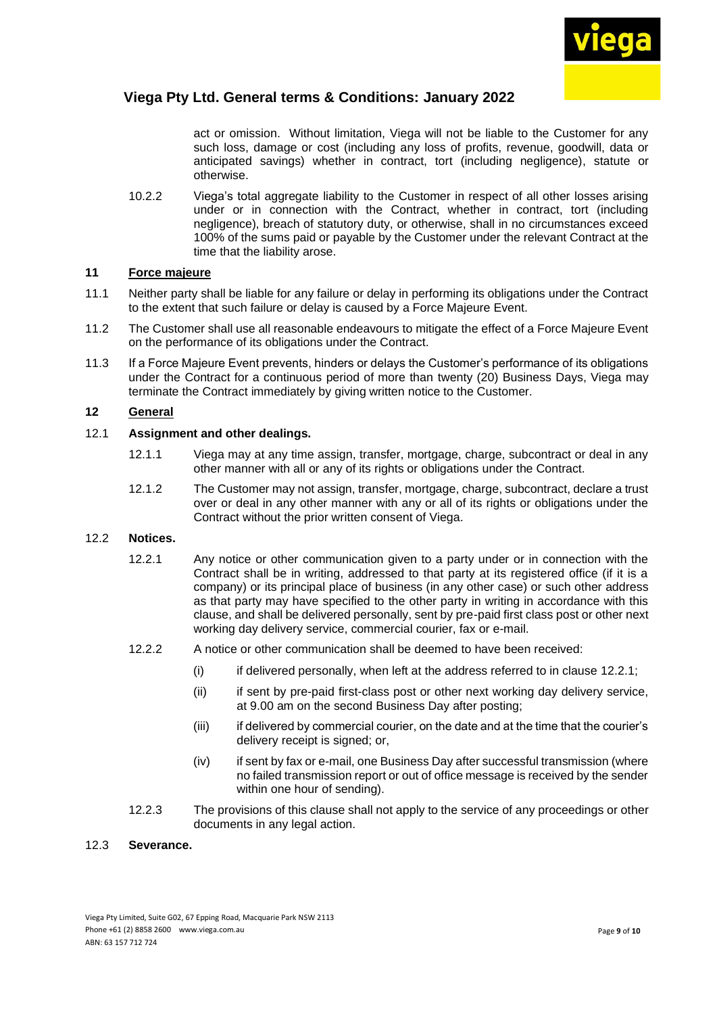

act or omission. Without limitation, Viega will not be liable to the Customer for any such loss, damage or cost (including any loss of profits, revenue, goodwill, data or anticipated savings) whether in contract, tort (including negligence), statute or otherwise.

10.2.2 Viega's total aggregate liability to the Customer in respect of all other losses arising under or in connection with the Contract, whether in contract, tort (including negligence), breach of statutory duty, or otherwise, shall in no circumstances exceed 100% of the sums paid or payable by the Customer under the relevant Contract at the time that the liability arose.

### **11 Force majeure**

- 11.1 Neither party shall be liable for any failure or delay in performing its obligations under the Contract to the extent that such failure or delay is caused by a Force Majeure Event.
- 11.2 The Customer shall use all reasonable endeavours to mitigate the effect of a Force Majeure Event on the performance of its obligations under the Contract.
- 11.3 If a Force Majeure Event prevents, hinders or delays the Customer's performance of its obligations under the Contract for a continuous period of more than twenty (20) Business Days, Viega may terminate the Contract immediately by giving written notice to the Customer.

### **12 General**

#### 12.1 **Assignment and other dealings.**

- 12.1.1 Viega may at any time assign, transfer, mortgage, charge, subcontract or deal in any other manner with all or any of its rights or obligations under the Contract.
- 12.1.2 The Customer may not assign, transfer, mortgage, charge, subcontract, declare a trust over or deal in any other manner with any or all of its rights or obligations under the Contract without the prior written consent of Viega.

#### 12.2 **Notices.**

- 12.2.1 Any notice or other communication given to a party under or in connection with the Contract shall be in writing, addressed to that party at its registered office (if it is a company) or its principal place of business (in any other case) or such other address as that party may have specified to the other party in writing in accordance with this clause, and shall be delivered personally, sent by pre-paid first class post or other next working day delivery service, commercial courier, fax or e-mail.
- 12.2.2 A notice or other communication shall be deemed to have been received:
	- $(i)$  if delivered personally, when left at the address referred to in clause [12.2.1;](file:///C:/Users/JacksonPh/Documents/a723112)
	- (ii) if sent by pre-paid first-class post or other next working day delivery service, at 9.00 am on the second Business Day after posting;
	- (iii) if delivered by commercial courier, on the date and at the time that the courier's delivery receipt is signed; or,
	- (iv) if sent by fax or e-mail, one Business Day after successful transmission (where no failed transmission report or out of office message is received by the sender within one hour of sending).
- 12.2.3 The provisions of this clause shall not apply to the service of any proceedings or other documents in any legal action.

### 12.3 **Severance.**